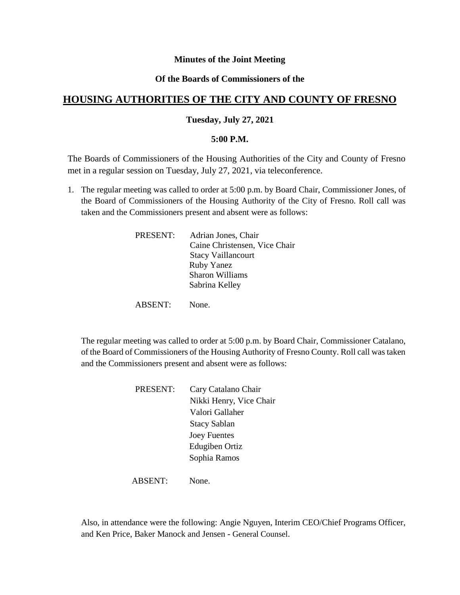### **Minutes of the Joint Meeting**

### **Of the Boards of Commissioners of the**

# **HOUSING AUTHORITIES OF THE CITY AND COUNTY OF FRESNO**

#### **Tuesday, July 27, 2021**

#### **5:00 P.M.**

The Boards of Commissioners of the Housing Authorities of the City and County of Fresno met in a regular session on Tuesday, July 27, 2021, via teleconference.

1. The regular meeting was called to order at 5:00 p.m. by Board Chair, Commissioner Jones, of the Board of Commissioners of the Housing Authority of the City of Fresno. Roll call was taken and the Commissioners present and absent were as follows:

| Adrian Jones, Chair           |
|-------------------------------|
| Caine Christensen, Vice Chair |
| <b>Stacy Vaillancourt</b>     |
| <b>Ruby Yanez</b>             |
| <b>Sharon Williams</b>        |
| Sabrina Kelley                |
|                               |

ABSENT: None.

The regular meeting was called to order at 5:00 p.m. by Board Chair, Commissioner Catalano, of the Board of Commissioners of the Housing Authority of Fresno County. Roll call was taken and the Commissioners present and absent were as follows:

| PRESENT: | Cary Catalano Chair     |
|----------|-------------------------|
|          | Nikki Henry, Vice Chair |
|          | Valori Gallaher         |
|          | <b>Stacy Sablan</b>     |
|          | <b>Joey Fuentes</b>     |
|          | Edugiben Ortiz          |
|          | Sophia Ramos            |
|          |                         |

ABSENT: None.

Also, in attendance were the following: Angie Nguyen, Interim CEO/Chief Programs Officer, and Ken Price, Baker Manock and Jensen - General Counsel.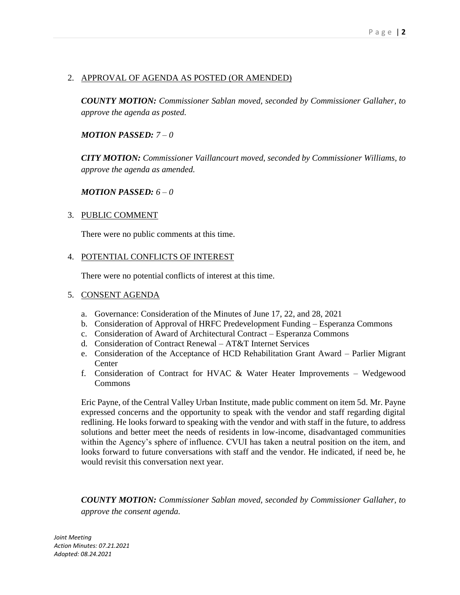### 2. APPROVAL OF AGENDA AS POSTED (OR AMENDED)

*COUNTY MOTION: Commissioner Sablan moved, seconded by Commissioner Gallaher, to approve the agenda as posted.*

### *MOTION PASSED: 7 – 0*

*CITY MOTION: Commissioner Vaillancourt moved, seconded by Commissioner Williams, to approve the agenda as amended.*

#### *MOTION PASSED: 6 – 0*

#### 3. PUBLIC COMMENT

There were no public comments at this time.

#### 4. POTENTIAL CONFLICTS OF INTEREST

There were no potential conflicts of interest at this time.

#### 5. CONSENT AGENDA

- a. Governance: Consideration of the Minutes of June 17, 22, and 28, 2021
- b. Consideration of Approval of HRFC Predevelopment Funding Esperanza Commons
- c. Consideration of Award of Architectural Contract Esperanza Commons
- d. Consideration of Contract Renewal AT&T Internet Services
- e. Consideration of the Acceptance of HCD Rehabilitation Grant Award Parlier Migrant **Center**
- f. Consideration of Contract for HVAC & Water Heater Improvements Wedgewood **Commons**

Eric Payne, of the Central Valley Urban Institute, made public comment on item 5d. Mr. Payne expressed concerns and the opportunity to speak with the vendor and staff regarding digital redlining. He looks forward to speaking with the vendor and with staff in the future, to address solutions and better meet the needs of residents in low-income, disadvantaged communities within the Agency's sphere of influence. CVUI has taken a neutral position on the item, and looks forward to future conversations with staff and the vendor. He indicated, if need be, he would revisit this conversation next year.

*COUNTY MOTION: Commissioner Sablan moved, seconded by Commissioner Gallaher, to approve the consent agenda.*

*Joint Meeting Action Minutes: 07.21.2021 Adopted: 08.24.2021*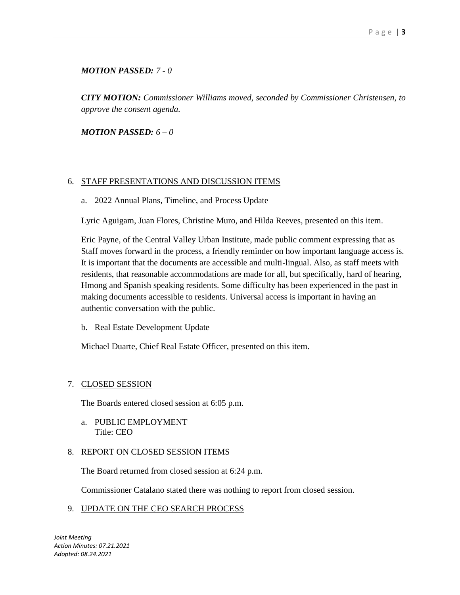## *MOTION PASSED: 7 - 0*

*CITY MOTION: Commissioner Williams moved, seconded by Commissioner Christensen, to approve the consent agenda.*

*MOTION PASSED: 6 – 0* 

### 6. STAFF PRESENTATIONS AND DISCUSSION ITEMS

a. 2022 Annual Plans, Timeline, and Process Update

Lyric Aguigam, Juan Flores, Christine Muro, and Hilda Reeves, presented on this item.

Eric Payne, of the Central Valley Urban Institute, made public comment expressing that as Staff moves forward in the process, a friendly reminder on how important language access is. It is important that the documents are accessible and multi-lingual. Also, as staff meets with residents, that reasonable accommodations are made for all, but specifically, hard of hearing, Hmong and Spanish speaking residents. Some difficulty has been experienced in the past in making documents accessible to residents. Universal access is important in having an authentic conversation with the public.

b. Real Estate Development Update

Michael Duarte, Chief Real Estate Officer, presented on this item.

### 7. CLOSED SESSION

The Boards entered closed session at 6:05 p.m.

a. PUBLIC EMPLOYMENT Title: CEO

### 8. REPORT ON CLOSED SESSION ITEMS

The Board returned from closed session at 6:24 p.m.

Commissioner Catalano stated there was nothing to report from closed session.

### 9. UPDATE ON THE CEO SEARCH PROCESS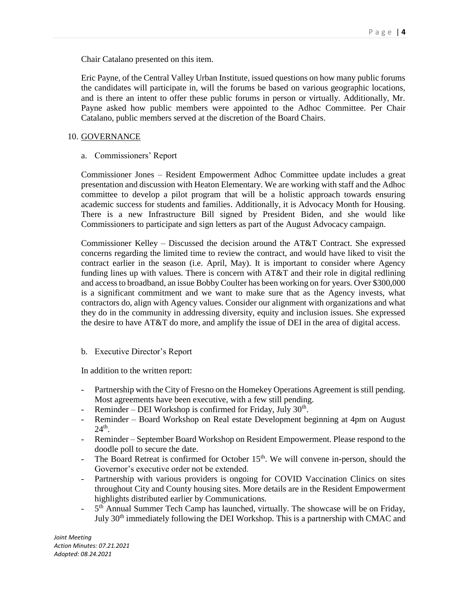Chair Catalano presented on this item.

Eric Payne, of the Central Valley Urban Institute, issued questions on how many public forums the candidates will participate in, will the forums be based on various geographic locations, and is there an intent to offer these public forums in person or virtually. Additionally, Mr. Payne asked how public members were appointed to the Adhoc Committee. Per Chair Catalano, public members served at the discretion of the Board Chairs.

#### 10. GOVERNANCE

a. Commissioners' Report

Commissioner Jones – Resident Empowerment Adhoc Committee update includes a great presentation and discussion with Heaton Elementary. We are working with staff and the Adhoc committee to develop a pilot program that will be a holistic approach towards ensuring academic success for students and families. Additionally, it is Advocacy Month for Housing. There is a new Infrastructure Bill signed by President Biden, and she would like Commissioners to participate and sign letters as part of the August Advocacy campaign.

Commissioner Kelley – Discussed the decision around the AT&T Contract. She expressed concerns regarding the limited time to review the contract, and would have liked to visit the contract earlier in the season (i.e. April, May). It is important to consider where Agency funding lines up with values. There is concern with AT&T and their role in digital redlining and access to broadband, an issue Bobby Coulter has been working on for years. Over \$300,000 is a significant commitment and we want to make sure that as the Agency invests, what contractors do, align with Agency values. Consider our alignment with organizations and what they do in the community in addressing diversity, equity and inclusion issues. She expressed the desire to have AT&T do more, and amplify the issue of DEI in the area of digital access.

#### b. Executive Director's Report

In addition to the written report:

- Partnership with the City of Fresno on the Homekey Operations Agreement is still pending. Most agreements have been executive, with a few still pending.
- Reminder DEI Workshop is confirmed for Friday, July  $30<sup>th</sup>$ .
- Reminder Board Workshop on Real estate Development beginning at 4pm on August  $24<sup>th</sup>$ .
- Reminder September Board Workshop on Resident Empowerment. Please respond to the doodle poll to secure the date.
- The Board Retreat is confirmed for October  $15<sup>th</sup>$ . We will convene in-person, should the Governor's executive order not be extended.
- Partnership with various providers is ongoing for COVID Vaccination Clinics on sites throughout City and County housing sites. More details are in the Resident Empowerment highlights distributed earlier by Communications.
- $-5$ <sup>th</sup> Annual Summer Tech Camp has launched, virtually. The showcase will be on Friday, July 30<sup>th</sup> immediately following the DEI Workshop. This is a partnership with CMAC and